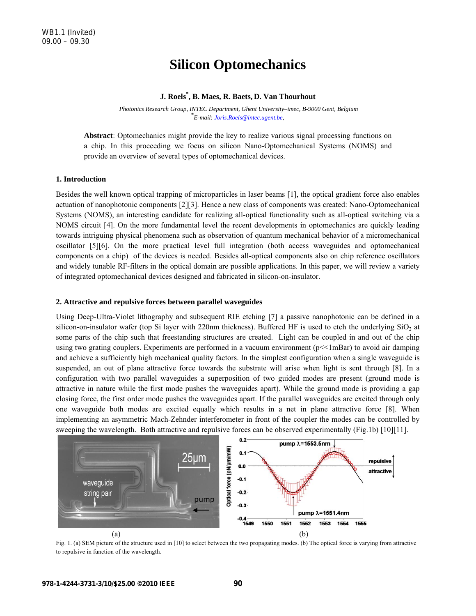# **Silicon Optomechanics**

# **J. Roels\* , B. Maes, R. Baets, D. Van Thourhout**

 *Photonics Research Group, INTEC Department, Ghent University-imec, B-9000 Gent, Belgium* **\*** *E-mail: Joris.Roels@intec.ugent.be,* 

**Abstract**: Optomechanics might provide the key to realize various signal processing functions on a chip. In this proceeding we focus on silicon Nano-Optomechanical Systems (NOMS) and provide an overview of several types of optomechanical devices.

## **1. Introduction**

Besides the well known optical trapping of microparticles in laser beams [1], the optical gradient force also enables actuation of nanophotonic components [2][3]. Hence a new class of components was created: Nano-Optomechanical Systems (NOMS), an interesting candidate for realizing all-optical functionality such as all-optical switching via a NOMS circuit [4]. On the more fundamental level the recent developments in optomechanics are quickly leading towards intriguing physical phenomena such as observation of quantum mechanical behavior of a micromechanical oscillator [5][6]. On the more practical level full integration (both access waveguides and optomechanical components on a chip) of the devices is needed. Besides all-optical components also on chip reference oscillators and widely tunable RF-filters in the optical domain are possible applications. In this paper, we will review a variety of integrated optomechanical devices designed and fabricated in silicon-on-insulator.

### **2. Attractive and repulsive forces between parallel waveguides**

Using Deep-Ultra-Violet lithography and subsequent RIE etching [7] a passive nanophotonic can be defined in a silicon-on-insulator wafer (top Si layer with 220nm thickness). Buffered HF is used to etch the underlying  $SiO<sub>2</sub>$  at some parts of the chip such that freestanding structures are created. Light can be coupled in and out of the chip using two grating couplers. Experiments are performed in a vacuum environment ( $p\leq 1mBar$ ) to avoid air damping and achieve a sufficiently high mechanical quality factors. In the simplest configuration when a single waveguide is suspended, an out of plane attractive force towards the substrate will arise when light is sent through [8]. In a configuration with two parallel waveguides a superposition of two guided modes are present (ground mode is attractive in nature while the first mode pushes the waveguides apart). While the ground mode is providing a gap closing force, the first order mode pushes the waveguides apart. If the parallel waveguides are excited through only one waveguide both modes are excited equally which results in a net in plane attractive force [8]. When implementing an asymmetric Mach-Zehnder interferometer in front of the coupler the modes can be controlled by sweeping the wavelength. Both attractive and repulsive forces can be observed experimentally (Fig.1b) [10][11].



Fig. 1. (a) SEM picture of the structure used in [10] to select between the two propagating modes. (b) The optical force is varying from attractive to repulsive in function of the wavelength.